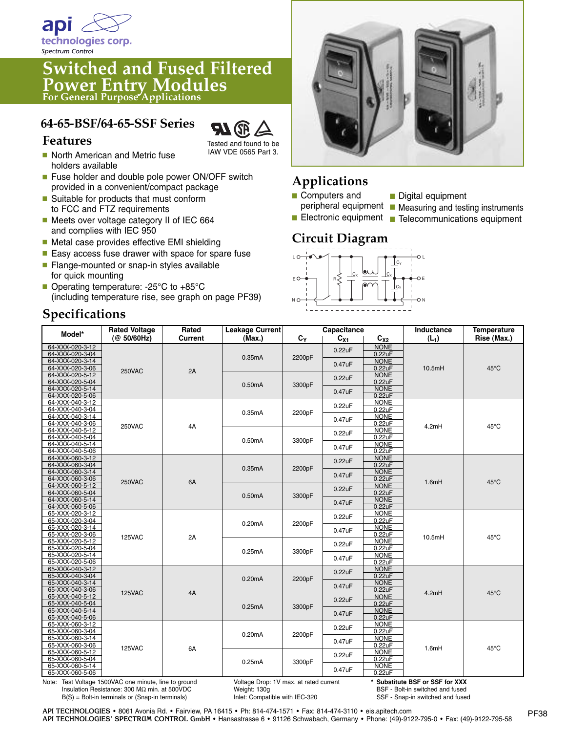

# **Switched and Fused Filtered Power Entry Modules For General Purpose Applications**

## **64-65-BSF/64-65-SSF Series**



Tested and found to be IAW VDE 0565 Part 3.

- North American and Metric fuse holders available
- Fuse holder and double pole power ON/OFF switch provided in a convenient/compact package
- Suitable for products that must conform to FCC and FTZ requirements
- Meets over voltage category II of IEC 664 and complies with IEC 950
- Metal case provides effective EMI shielding
- Easy access fuse drawer with space for spare fuse
- Flange-mounted or snap-in styles available for quick mounting
- Operating temperature: -25°C to +85°C (including temperature rise, see graph on page PF39)

# **Specifications**



# **Applications**

- **■** Computers and
- Digital equipment
- peripheral equipment **■** Measuring and testing instruments
- Electronic equipment Telecommunications equipment

#### **Circuit Diagram**



| Model*                                                                                                                                                                                                                                 | Rated<br><b>Rated Voltage</b> |         | Leakage Current | Capacitance |                                                                    |                       | Inductance | <b>Temperature</b> |
|----------------------------------------------------------------------------------------------------------------------------------------------------------------------------------------------------------------------------------------|-------------------------------|---------|-----------------|-------------|--------------------------------------------------------------------|-----------------------|------------|--------------------|
|                                                                                                                                                                                                                                        | (@ 50/60Hz)                   | Current | (Max.)          | $C_{Y}$     | $C_{X1}$                                                           | $C_{X2}$              | $(L_1)$    | Rise (Max.)        |
| 64-XXX-020-3-12                                                                                                                                                                                                                        |                               |         |                 |             | 0.22uF                                                             | <b>NONE</b>           |            |                    |
| 64-XXX-020-3-04                                                                                                                                                                                                                        |                               |         | 0.35mA          | 2200pF      |                                                                    | 0.22uF                |            |                    |
| 64-XXX-020-3-14                                                                                                                                                                                                                        |                               |         |                 |             | 0.47uF                                                             | <b>NONE</b>           |            |                    |
| 64-XXX-020-3-06                                                                                                                                                                                                                        | 250VAC                        | 2A      |                 |             |                                                                    | 0.22uF                | 10.5mH     | 45°C               |
| 64-XXX-020-5-12                                                                                                                                                                                                                        |                               |         |                 |             | 0.22uF                                                             | <b>NONE</b>           |            |                    |
| 64-XXX-020-5-04<br>64-XXX-020-5-14                                                                                                                                                                                                     |                               |         | 0.50mA          | 3300pF      |                                                                    | 0.22uF<br><b>NONE</b> |            |                    |
| 64-XXX-020-5-06                                                                                                                                                                                                                        |                               |         |                 |             | 0.47uF                                                             | 0.22uF                |            |                    |
| 64-XXX-040-3-12                                                                                                                                                                                                                        |                               |         |                 |             |                                                                    | <b>NONE</b>           |            |                    |
| 64-XXX-040-3-04                                                                                                                                                                                                                        |                               |         | 0.35mA          |             | 0.22uF                                                             | 0.22uF                |            |                    |
| 64-XXX-040-3-14                                                                                                                                                                                                                        | 250VAC                        | 4A      |                 | 2200pF      | 0.47uF                                                             | <b>NONE</b>           | 4.2mH      | 45°C               |
| 64-XXX-040-3-06                                                                                                                                                                                                                        |                               |         |                 |             |                                                                    | 0.22uF                |            |                    |
| 64-XXX-040-5-12                                                                                                                                                                                                                        |                               |         | 0.50mA          | 3300pF      | <b>NONE</b><br>0.22uF<br>0.22uF<br><b>NONE</b><br>0.47uF<br>0.22uF |                       |            |                    |
| 64-XXX-040-5-04                                                                                                                                                                                                                        |                               |         |                 |             |                                                                    |                       |            |                    |
| 64-XXX-040-5-14                                                                                                                                                                                                                        |                               |         |                 |             |                                                                    |                       |            |                    |
| 64-XXX-040-5-06                                                                                                                                                                                                                        |                               |         |                 |             |                                                                    |                       |            |                    |
| 64-XXX-060-3-12<br>64-XXX-060-3-04                                                                                                                                                                                                     | <b>250VAC</b>                 | 6A      | 0.35mA          | 2200pF      | 0.22uF                                                             | <b>NONE</b><br>0.22uF | 1.6mH      | $45^{\circ}$ C     |
| 64-XXX-060-3-14                                                                                                                                                                                                                        |                               |         |                 |             |                                                                    | <b>NONE</b>           |            |                    |
| 64-XXX-060-3-06                                                                                                                                                                                                                        |                               |         |                 |             | 0.47uF                                                             | 0.22uF                |            |                    |
| 64-XXX-060-5-12                                                                                                                                                                                                                        |                               |         | 0.50mA          | 3300pF      |                                                                    | <b>NONE</b>           |            |                    |
| 64-XXX-060-5-04                                                                                                                                                                                                                        |                               |         |                 |             |                                                                    | 0.22uF<br>0.22uF      |            |                    |
| 64-XXX-060-5-14                                                                                                                                                                                                                        |                               |         |                 |             | 0.47uF                                                             | <b>NONE</b>           |            |                    |
| 64-XXX-060-5-06                                                                                                                                                                                                                        |                               |         |                 |             |                                                                    | 0.22uF                |            |                    |
| 65-XXX-020-3-12                                                                                                                                                                                                                        | <b>125VAC</b>                 | 2A      | 0.20mA          | 2200pF      | 0.22uF                                                             | <b>NONE</b>           | 10.5mH     | 45°C               |
| 65-XXX-020-3-04                                                                                                                                                                                                                        |                               |         |                 |             |                                                                    | 0.22uF                |            |                    |
| 65-XXX-020-3-14                                                                                                                                                                                                                        |                               |         |                 |             | 0.47uF                                                             | <b>NONE</b>           |            |                    |
| 65-XXX-020-3-06<br>65-XXX-020-5-12                                                                                                                                                                                                     |                               |         |                 |             | 0.22uF                                                             | 0.22uF<br><b>NONE</b> |            |                    |
| 65-XXX-020-5-04                                                                                                                                                                                                                        |                               |         | 0.25mA          | 3300pF      |                                                                    | 0.22uF                |            |                    |
| 65-XXX-020-5-14                                                                                                                                                                                                                        |                               |         |                 |             |                                                                    | <b>NONE</b>           |            |                    |
| 65-XXX-020-5-06                                                                                                                                                                                                                        |                               |         |                 |             | 0.47uF                                                             | 0.22uF                |            |                    |
| 65-XXX-040-3-12                                                                                                                                                                                                                        |                               |         |                 |             | 0.22uF                                                             | <b>NONE</b>           |            |                    |
| 65-XXX-040-3-04                                                                                                                                                                                                                        |                               |         | 0.20mA          | 2200pF      |                                                                    | 0.22uF                |            |                    |
| 65-XXX-040-3-14                                                                                                                                                                                                                        | <b>125VAC</b>                 | 4A      |                 |             | 0.47uF<br>0.22uF                                                   | <b>NONE</b>           | 4.2mH      | 45°C               |
| 65-XXX-040-3-06                                                                                                                                                                                                                        |                               |         |                 |             |                                                                    | 0.22uF                |            |                    |
| 65-XXX-040-5-12                                                                                                                                                                                                                        |                               |         | 0.25mA          | 3300pF      |                                                                    | <b>NONE</b>           |            |                    |
| 65-XXX-040-5-04                                                                                                                                                                                                                        |                               |         |                 |             |                                                                    | 0.22uF                |            |                    |
| 65-XXX-040-5-14<br>65-XXX-040-5-06                                                                                                                                                                                                     |                               |         |                 |             | 0.47uF                                                             | <b>NONE</b><br>0.22uF |            |                    |
| 65-XXX-060-3-12                                                                                                                                                                                                                        |                               |         |                 |             |                                                                    | <b>NONE</b>           |            |                    |
| 65-XXX-060-3-04                                                                                                                                                                                                                        |                               |         |                 |             | 0.22uF                                                             | 0.22uF                |            |                    |
| 65-XXX-060-3-14                                                                                                                                                                                                                        |                               |         | 0.20mA          | 2200pF      |                                                                    | <b>NONE</b>           |            |                    |
| 65-XXX-060-3-06                                                                                                                                                                                                                        | 125VAC                        | 6A      |                 |             | 0.47uF                                                             | 0.22uF                | 1.6mH      | 45°C               |
| 65-XXX-060-5-12                                                                                                                                                                                                                        |                               |         |                 |             | 0.22uF                                                             | <b>NONE</b>           |            |                    |
| 65-XXX-060-5-04                                                                                                                                                                                                                        |                               |         | 0.25mA          | 3300pF      |                                                                    | 0.22uF                |            |                    |
| 65-XXX-060-5-14                                                                                                                                                                                                                        |                               |         |                 |             | 0.47uF                                                             | <b>NONE</b>           |            |                    |
| 65-XXX-060-5-06                                                                                                                                                                                                                        |                               |         |                 |             |                                                                    | 0.22uF                |            |                    |
| Note: Test Voltage 1500VAC one minute, line to ground<br>* Substitute BSF or SSF for XXX<br>Voltage Drop: 1V max. at rated current<br>Inculation Desistance: 300 MO min of E00VDC<br>$Mainn+100n$<br>DOE Dalt in auditaband and funned |                               |         |                 |             |                                                                    |                       |            |                    |

tion Resistance: 300 MΩ min. at 500VDC B(S) = Bolt-in terminals or (Snap-in terminals)

Weight: 130g Inlet: Compatible with IEC-320

Bolt-in switched and fused SSF - Snap-in switched and fused